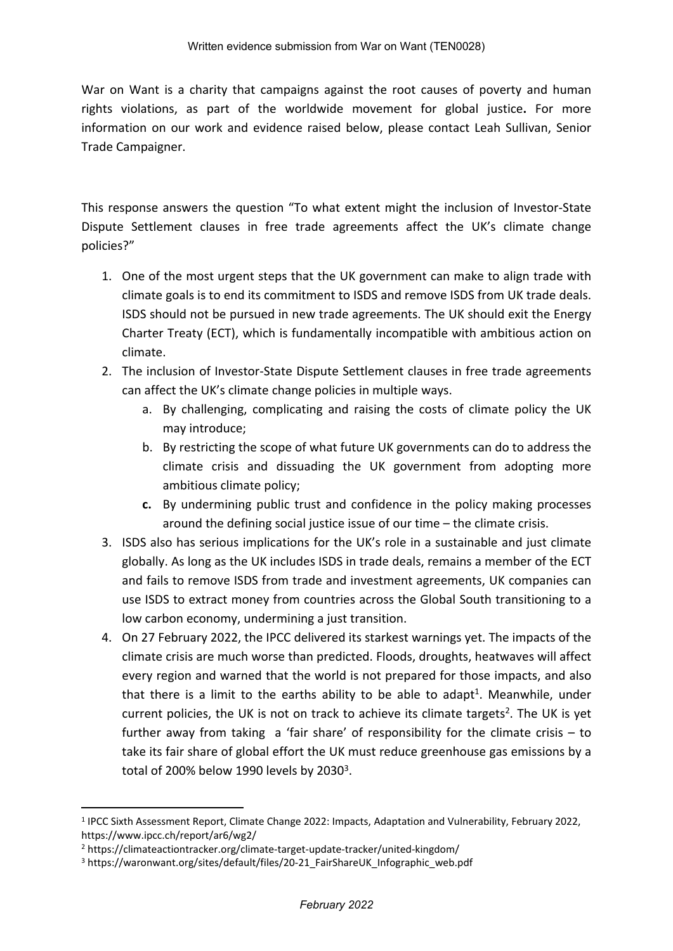War on Want is a charity that campaigns against the root causes of poverty and human rights violations, as part of the worldwide movement for global justice**.** For more information on our work and evidence raised below, please contact Leah Sullivan, Senior Trade Campaigner.

This response answers the question "To what extent might the inclusion of Investor-State Dispute Settlement clauses in free trade agreements affect the UK's climate change policies?"

- 1. One of the most urgent steps that the UK government can make to align trade with climate goals is to end its commitment to ISDS and remove ISDS from UK trade deals. ISDS should not be pursued in new trade agreements. The UK should exit the Energy Charter Treaty (ECT), which is fundamentally incompatible with ambitious action on climate.
- 2. The inclusion of Investor-State Dispute Settlement clauses in free trade agreements can affect the UK's climate change policies in multiple ways.
	- a. By challenging, complicating and raising the costs of climate policy the UK may introduce;
	- b. By restricting the scope of what future UK governments can do to address the climate crisis and dissuading the UK government from adopting more ambitious climate policy;
	- **c.** By undermining public trust and confidence in the policy making processes around the defining social justice issue of our time – the climate crisis.
- 3. ISDS also has serious implications for the UK's role in a sustainable and just climate globally. As long as the UK includes ISDS in trade deals, remains a member of the ECT and fails to remove ISDS from trade and investment agreements, UK companies can use ISDS to extract money from countries across the Global South transitioning to a low carbon economy, undermining a just transition.
- 4. On 27 February 2022, the IPCC delivered its starkest warnings yet. The impacts of the climate crisis are much worse than predicted. Floods, droughts, heatwaves will affect every region and warned that the world is not prepared for those impacts, and also that there is a limit to the earths ability to be able to adapt<sup>1</sup>. Meanwhile, under current policies, the UK is not on track to achieve its climate targets<sup>2</sup>. The UK is yet further away from taking a 'fair share' of responsibility for the climate crisis  $-$  to take its fair share of global effort the UK must reduce greenhouse gas emissions by a total of 200% below 1990 levels by 2030 $^3$ .

<sup>1</sup> IPCC Sixth Assessment Report, Climate Change 2022: Impacts, Adaptation and Vulnerability, February 2022, https://www.ipcc.ch/report/ar6/wg2/

<sup>2</sup> https://climateactiontracker.org/climate-target-update-tracker/united-kingdom/

<sup>&</sup>lt;sup>3</sup> https://waronwant.org/sites/default/files/20-21 FairShareUK Infographic web.pdf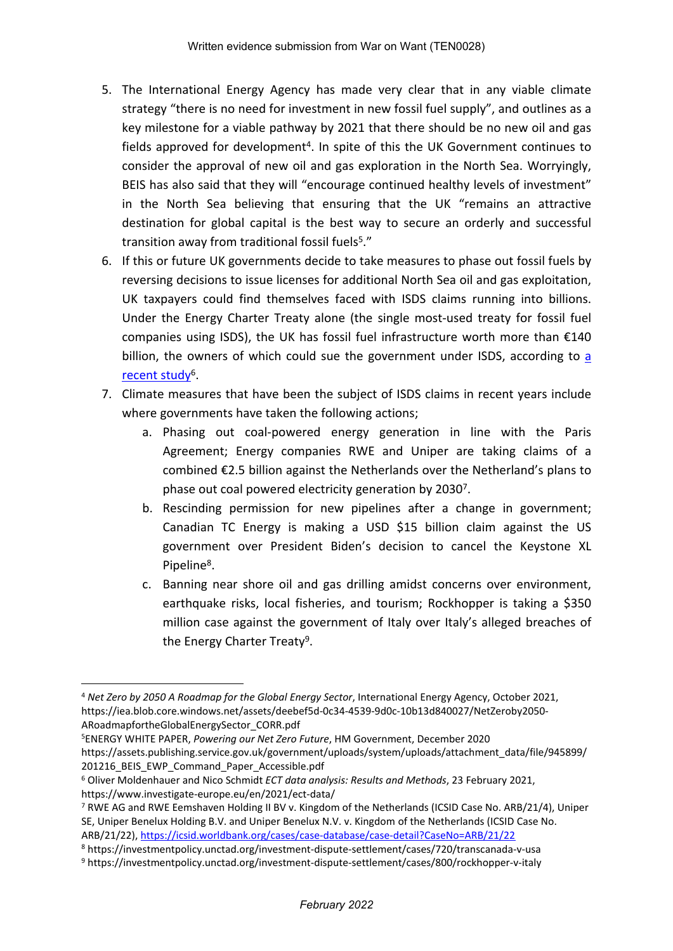- 5. The International Energy Agency has made very clear that in any viable climate strategy "there is no need for investment in new fossil fuel supply", and outlines as a key milestone for a viable pathway by 2021 that there should be no new oil and gas fields approved for development<sup>4</sup>. In spite of this the UK Government continues to consider the approval of new oil and gas exploration in the North Sea. Worryingly, BEIS has also said that they will "encourage continued healthy levels of investment" in the North Sea believing that ensuring that the UK "remains an attractive destination for global capital is the best way to secure an orderly and successful transition away from traditional fossil fuels<sup>5</sup>."
- 6. If this or future UK governments decide to take measures to phase out fossil fuels by reversing decisions to issue licenses for additional North Sea oil and gas exploitation, UK taxpayers could find themselves faced with ISDS claims running into billions. Under the Energy Charter Treaty alone (the single most-used treaty for fossil fuel companies using ISDS), the UK has fossil fuel infrastructure worth more than  $£140$ billion, the owners of which could sue the government under ISDS, [a](https://www.investigate-europe.eu/en/2021/ect-data/)ccording to a [recent](https://www.investigate-europe.eu/en/2021/ect-data/) [study](https://www.investigate-europe.eu/en/2021/ect-data/)<sup>6</sup>.
- 7. Climate measures that have been the subject of ISDS claims in recent years include where governments have taken the following actions;
	- a. Phasing out coal-powered energy generation in line with the Paris Agreement; Energy companies RWE and Uniper are taking claims of a combined €2.5 billion against the Netherlands over the Netherland's plans to phase out coal powered electricity generation by 2030<sup>7</sup>.
	- b. Rescinding permission for new pipelines after a change in government; Canadian TC Energy is making a USD \$15 billion claim against the US government over President Biden's decision to cancel the Keystone XL Pipeline<sup>8</sup>.
	- c. Banning near shore oil and gas drilling amidst concerns over environment, earthquake risks, local fisheries, and tourism; Rockhopper is taking a \$350 million case against the government of Italy over Italy's alleged breaches of the Energy Charter Treaty<sup>9</sup>.

<sup>5</sup>ENERGY WHITE PAPER, *Powering our Net Zero Future*, HM Government, December 2020

<sup>4</sup> *Net Zero by 2050 A Roadmap for the Global Energy Sector*, International Energy Agency, October 2021, https://iea.blob.core.windows.net/assets/deebef5d-0c34-4539-9d0c-10b13d840027/NetZeroby2050- ARoadmapfortheGlobalEnergySector\_CORR.pdf

https://assets.publishing.service.gov.uk/government/uploads/system/uploads/attachment\_data/file/945899/ 201216 BEIS EWP Command Paper Accessible.pdf

<sup>6</sup> Oliver Moldenhauer and Nico Schmidt *ECT data analysis: Results and Methods*, 23 February 2021, https://www.investigate-europe.eu/en/2021/ect-data/

<sup>7</sup> RWE AG and RWE Eemshaven Holding II BV v. Kingdom of the Netherlands (ICSID Case No. ARB/21/4), Uniper SE, Uniper Benelux Holding B.V. and Uniper Benelux N.V. v. Kingdom of the Netherlands (ICSID Case No. ARB/21/22), <https://icsid.worldbank.org/cases/case-database/case-detail?CaseNo=ARB/21/22>

<sup>8</sup> https://investmentpolicy.unctad.org/investment-dispute-settlement/cases/720/transcanada-v-usa

<sup>9</sup> https://investmentpolicy.unctad.org/investment-dispute-settlement/cases/800/rockhopper-v-italy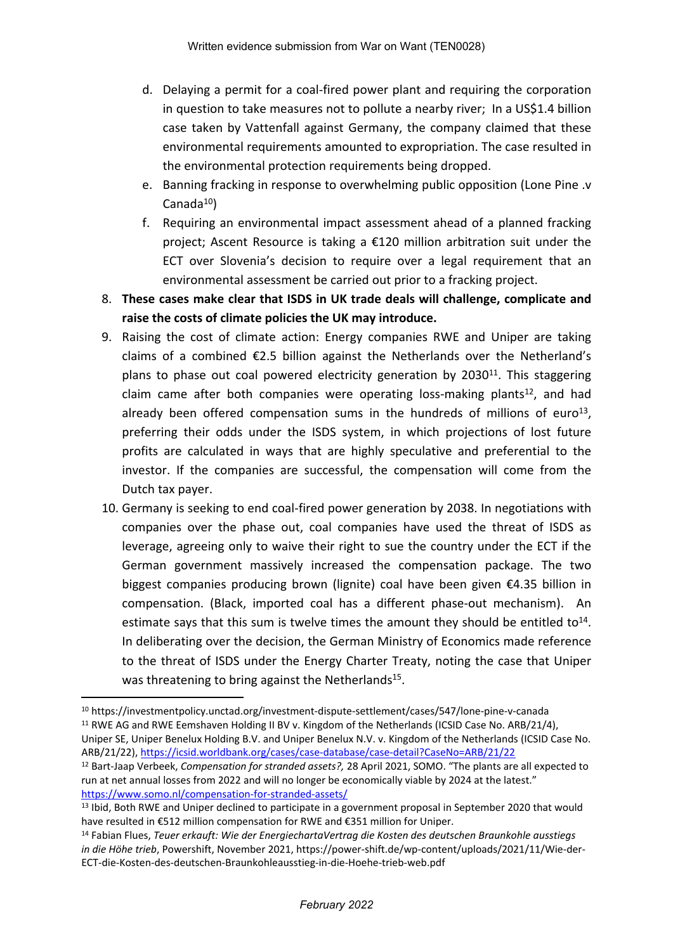- d. Delaying a permit for a coal-fired power plant and requiring the corporation in question to take measures not to pollute a nearby river; In a US\$1.4 billion case taken by Vattenfall against Germany, the company claimed that these environmental requirements amounted to expropriation. The case resulted in the environmental protection requirements being dropped.
- e. Banning fracking in response to overwhelming public opposition (Lone Pine .v Canada $10$ )
- f. Requiring an environmental impact assessment ahead of a planned fracking project; Ascent Resource is taking a €120 million arbitration suit under the ECT over Slovenia's decision to require over a legal requirement that an environmental assessment be carried out prior to a fracking project.
- 8. **These cases make clear that ISDS in UK trade deals will challenge, complicate and raise the costs of climate policies the UK may introduce.**
- 9. Raising the cost of climate action: Energy companies RWE and Uniper are taking claims of a combined €2.5 billion against the Netherlands over the Netherland's plans to phase out coal powered electricity generation by 2030<sup>11</sup>. This staggering claim came after both companies were operating loss-making plants<sup>12</sup>, and had already been offered compensation sums in the hundreds of millions of euro<sup>13</sup>, preferring their odds under the ISDS system, in which projections of lost future profits are calculated in ways that are highly speculative and preferential to the investor. If the companies are successful, the compensation will come from the Dutch tax payer.
- 10. Germany is seeking to end coal-fired power generation by 2038. In negotiations with companies over the phase out, coal companies have used the threat of ISDS as leverage, agreeing only to waive their right to sue the country under the ECT if the German government massively increased the compensation package. The two biggest companies producing brown (lignite) coal have been given €4.35 billion in compensation. (Black, imported coal has a different phase-out mechanism). An estimate says that this sum is twelve times the amount they should be entitled to<sup>14</sup>. In deliberating over the decision, the German Ministry of Economics made reference to the threat of ISDS under the Energy Charter Treaty, noting the case that Uniper was threatening to bring against the Netherlands<sup>15</sup>.

<sup>11</sup> RWE AG and RWE Eemshaven Holding II BV v. Kingdom of the Netherlands (ICSID Case No. ARB/21/4),

Uniper SE, Uniper Benelux Holding B.V. and Uniper Benelux N.V. v. Kingdom of the Netherlands (ICSID Case No. ARB/21/22), <https://icsid.worldbank.org/cases/case-database/case-detail?CaseNo=ARB/21/22>

<sup>10</sup> https://investmentpolicy.unctad.org/investment-dispute-settlement/cases/547/lone-pine-v-canada

<sup>12</sup> Bart-Jaap Verbeek, *Compensation for stranded assets?,* 28 April 2021, SOMO. "The plants are all expected to run at net annual losses from 2022 and will no longer be economically viable by 2024 at the latest." <https://www.somo.nl/compensation-for-stranded-assets/>

<sup>&</sup>lt;sup>13</sup> Ibid, Both RWE and Uniper declined to participate in a government proposal in September 2020 that would have resulted in €512 million compensation for RWE and €351 million for Uniper.

<sup>14</sup> Fabian Flues, *Teuer erkauft: Wie der EnergiechartaVertrag die Kosten des deutschen Braunkohle ausstiegs in die Höhe trieb*, Powershift, November 2021, https://power-shift.de/wp-content/uploads/2021/11/Wie-der-ECT-die-Kosten-des-deutschen-Braunkohleausstieg-in-die-Hoehe-trieb-web.pdf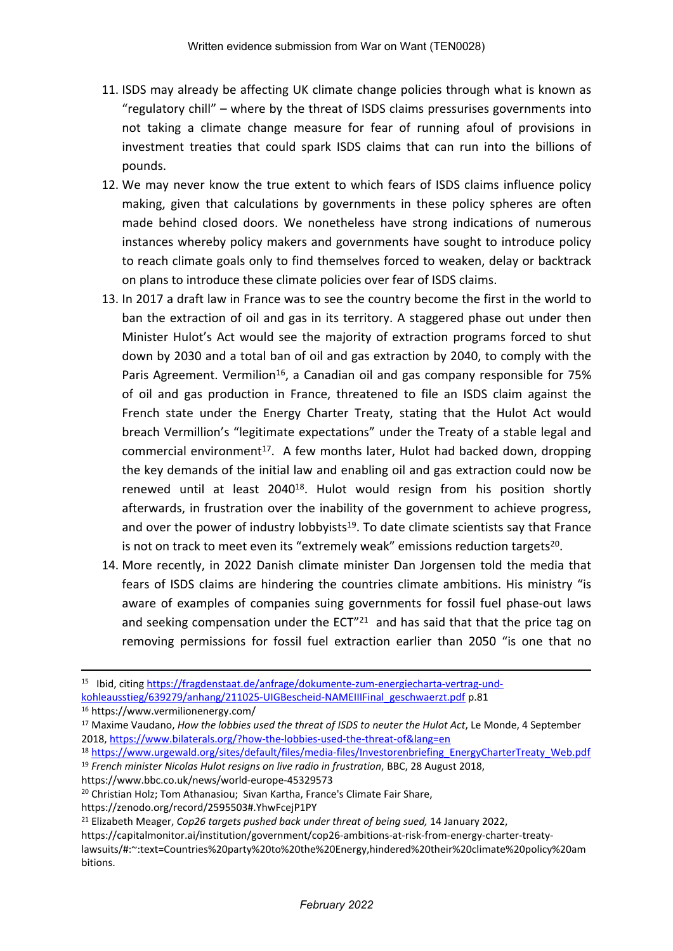- 11. ISDS may already be affecting UK climate change policies through what is known as "regulatory chill" – where by the threat of ISDS claims pressurises governments into not taking a climate change measure for fear of running afoul of provisions in investment treaties that could spark ISDS claims that can run into the billions of pounds.
- 12. We may never know the true extent to which fears of ISDS claims influence policy making, given that calculations by governments in these policy spheres are often made behind closed doors. We nonetheless have strong indications of numerous instances whereby policy makers and governments have sought to introduce policy to reach climate goals only to find themselves forced to weaken, delay or backtrack on plans to introduce these climate policies over fear of ISDS claims.
- 13. In 2017 a draft law in France was to see the country become the first in the world to ban the extraction of oil and gas in its territory. A staggered phase out under then Minister Hulot's Act would see the majority of extraction programs forced to shut down by 2030 and a total ban of oil and gas extraction by 2040, to comply with the Paris Agreement. Vermilion<sup>16</sup>, a Canadian oil and gas company responsible for 75% of oil and gas production in France, threatened to file an ISDS claim against the French state under the Energy Charter Treaty, stating that the Hulot Act would breach Vermillion's "legitimate expectations" under the Treaty of a stable legal and commercial environment<sup>17</sup>. A few months later, Hulot had backed down, dropping the key demands of the initial law and enabling oil and gas extraction could now be renewed until at least 2040<sup>18</sup>. Hulot would resign from his position shortly afterwards, in frustration over the inability of the government to achieve progress, and over the power of industry lobbyists<sup>19</sup>. To date climate scientists say that France is not on track to meet even its "extremely weak" emissions reduction targets<sup>20</sup>.
- 14. More recently, in 2022 Danish climate minister Dan Jorgensen told the media that fears of ISDS claims are hindering the countries climate ambitions. His ministry "is aware of examples of companies suing governments for fossil fuel phase-out laws and seeking compensation under the  $ECT''^{21}$  and has said that that the price tag on removing permissions for fossil fuel extraction earlier than 2050 "is one that no

https://www.bbc.co.uk/news/world-europe-45329573

<sup>20</sup> Christian Holz; Tom Athanasiou; Sivan Kartha, France's Climate Fair Share,

<sup>&</sup>lt;sup>15</sup> Ibid, citing [https://fragdenstaat.de/anfrage/dokumente-zum-energiecharta-vertrag-und](https://fragdenstaat.de/anfrage/dokumente-zum-energiecharta-vertrag-und-kohleausstieg/639279/anhang/211025-UIGBescheid-NAMEIIIFinal_geschwaerzt.pdf)[kohleausstieg/639279/anhang/211025-UIGBescheid-NAMEIIIFinal\\_geschwaerzt.pdf](https://fragdenstaat.de/anfrage/dokumente-zum-energiecharta-vertrag-und-kohleausstieg/639279/anhang/211025-UIGBescheid-NAMEIIIFinal_geschwaerzt.pdf) p.81

<sup>16</sup> https://www.vermilionenergy.com/

<sup>17</sup> Maxime Vaudano, *How the lobbies used the threat of ISDS to neuter the Hulot Act*, Le Monde, 4 September 2018, <https://www.bilaterals.org/?how-the-lobbies-used-the-threat-of&lang=en>

<sup>18</sup> [https://www.urgewald.org/sites/default/files/media-files/Investorenbriefing\\_EnergyCharterTreaty\\_Web.pdf](https://www.urgewald.org/sites/default/files/media-files/Investorenbriefing_EnergyCharterTreaty_Web.pdf) <sup>19</sup> *French minister Nicolas Hulot resigns on live radio in frustration*, BBC, 28 August 2018,

https://zenodo.org/record/2595503#.YhwFcejP1PY

<sup>21</sup> Elizabeth Meager, *Cop26 targets pushed back under threat of being sued,* 14 January 2022,

https://capitalmonitor.ai/institution/government/cop26-ambitions-at-risk-from-energy-charter-treatylawsuits/#:~:text=Countries%20party%20to%20the%20Energy,hindered%20their%20climate%20policy%20am bitions.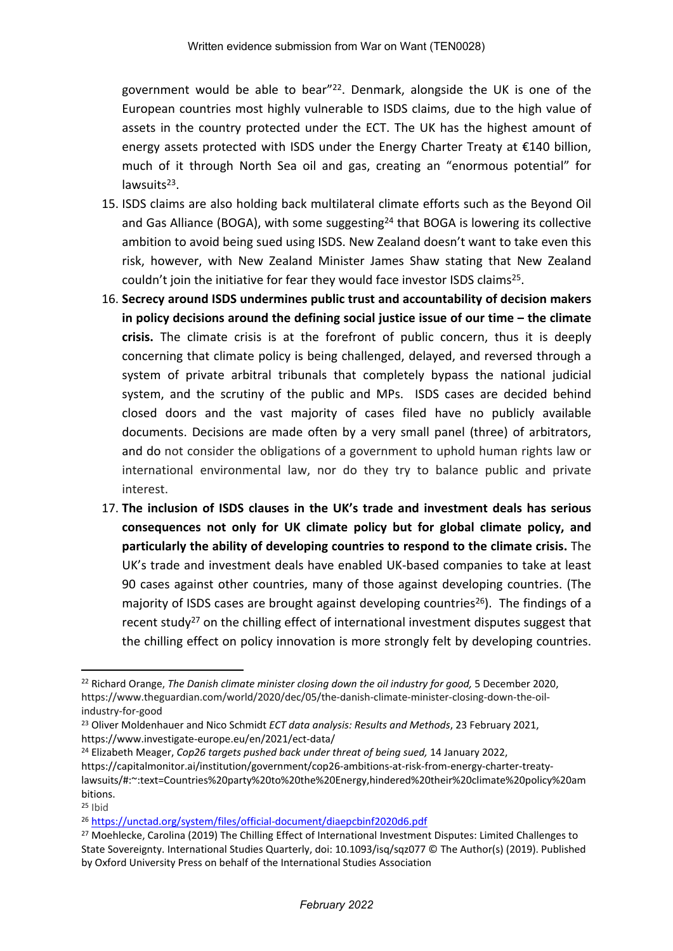government would be able to bear"<sup>22</sup>. Denmark, alongside the UK is one of the European countries most highly vulnerable to ISDS claims, due to the high value of assets in the country protected under the ECT. The UK has the highest amount of energy assets protected with ISDS under the Energy Charter Treaty at €140 billion, much of it through North Sea oil and gas, creating an "enormous potential" for lawsuits<sup>23</sup>.

- 15. ISDS claims are also holding back multilateral climate efforts such as the Beyond Oil and Gas Alliance (BOGA), with some suggesting<sup>24</sup> that BOGA is lowering its collective ambition to avoid being sued using ISDS. New Zealand doesn't want to take even this risk, however, with New Zealand Minister James Shaw stating that New Zealand couldn't join the initiative for fear they would face investor ISDS claims<sup>25</sup>.
- 16. **Secrecy around ISDS undermines public trust and accountability of decision makers in policy decisions around the defining social justice issue of our time – the climate crisis.** The climate crisis is at the forefront of public concern, thus it is deeply concerning that climate policy is being challenged, delayed, and reversed through a system of private arbitral tribunals that completely bypass the national judicial system, and the scrutiny of the public and MPs. ISDS cases are decided behind closed doors and the vast majority of cases filed have no publicly available documents. Decisions are made often by a very small panel (three) of arbitrators, and do not consider the obligations of a government to uphold human rights law or international environmental law, nor do they try to balance public and private interest.
- 17. **The inclusion of ISDS clauses in the UK's trade and investment deals has serious consequences not only for UK climate policy but for global climate policy, and particularly the ability of developing countries to respond to the climate crisis.** The UK's trade and investment deals have enabled UK-based companies to take at least 90 cases against other countries, many of those against developing countries. (The majority of ISDS cases are brought against developing countries<sup>26</sup>). The findings of a recent study<sup>27</sup> on the chilling effect of international investment disputes suggest that the chilling effect on policy innovation is more strongly felt by developing countries.

<sup>22</sup> Richard Orange, *The Danish climate minister closing down the oil industry for good,* 5 December 2020, https://www.theguardian.com/world/2020/dec/05/the-danish-climate-minister-closing-down-the-oilindustry-for-good

<sup>23</sup> Oliver Moldenhauer and Nico Schmidt *ECT data analysis: Results and Methods*, 23 February 2021, https://www.investigate-europe.eu/en/2021/ect-data/

<sup>24</sup> Elizabeth Meager, *Cop26 targets pushed back under threat of being sued,* 14 January 2022, https://capitalmonitor.ai/institution/government/cop26-ambitions-at-risk-from-energy-charter-treatylawsuits/#:~:text=Countries%20party%20to%20the%20Energy,hindered%20their%20climate%20policy%20am bitions.

 $25$  Ibid

<sup>26</sup> <https://unctad.org/system/files/official-document/diaepcbinf2020d6.pdf>

<sup>&</sup>lt;sup>27</sup> Moehlecke, Carolina (2019) The Chilling Effect of International Investment Disputes: Limited Challenges to State Sovereignty. International Studies Quarterly, doi: 10.1093/isq/sqz077 © The Author(s) (2019). Published by Oxford University Press on behalf of the International Studies Association